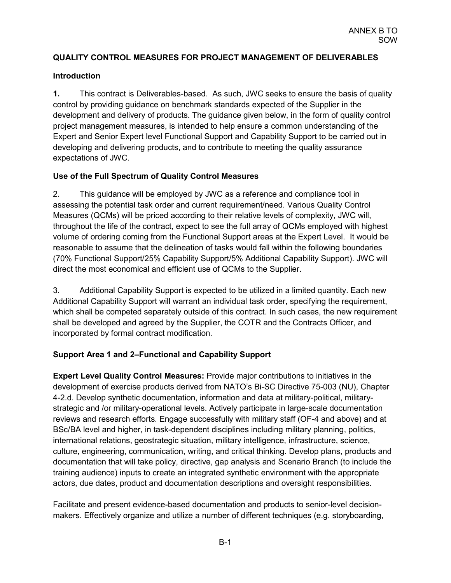## **QUALITY CONTROL MEASURES FOR PROJECT MANAGEMENT OF DELIVERABLES**

## **Introduction**

**1.** This contract is Deliverables-based. As such, JWC seeks to ensure the basis of quality control by providing guidance on benchmark standards expected of the Supplier in the development and delivery of products. The guidance given below, in the form of quality control project management measures, is intended to help ensure a common understanding of the Expert and Senior Expert level Functional Support and Capability Support to be carried out in developing and delivering products, and to contribute to meeting the quality assurance expectations of JWC.

## **Use of the Full Spectrum of Quality Control Measures**

2. This guidance will be employed by JWC as a reference and compliance tool in assessing the potential task order and current requirement/need. Various Quality Control Measures (QCMs) will be priced according to their relative levels of complexity, JWC will, throughout the life of the contract, expect to see the full array of QCMs employed with highest volume of ordering coming from the Functional Support areas at the Expert Level. It would be reasonable to assume that the delineation of tasks would fall within the following boundaries (70% Functional Support/25% Capability Support/5% Additional Capability Support). JWC will direct the most economical and efficient use of QCMs to the Supplier.

3. Additional Capability Support is expected to be utilized in a limited quantity. Each new Additional Capability Support will warrant an individual task order, specifying the requirement, which shall be competed separately outside of this contract. In such cases, the new requirement shall be developed and agreed by the Supplier, the COTR and the Contracts Officer, and incorporated by formal contract modification.

## **Support Area 1 and 2–Functional and Capability Support**

**Expert Level Quality Control Measures:** Provide major contributions to initiatives in the development of exercise products derived from NATO's Bi-SC Directive 75-003 (NU), Chapter 4-2.d. Develop synthetic documentation, information and data at military-political, militarystrategic and /or military-operational levels. Actively participate in large-scale documentation reviews and research efforts. Engage successfully with military staff (OF-4 and above) and at BSc/BA level and higher, in task-dependent disciplines including military planning, politics, international relations, geostrategic situation, military intelligence, infrastructure, science, culture, engineering, communication, writing, and critical thinking. Develop plans, products and documentation that will take policy, directive, gap analysis and Scenario Branch (to include the training audience) inputs to create an integrated synthetic environment with the appropriate actors, due dates, product and documentation descriptions and oversight responsibilities.

Facilitate and present evidence-based documentation and products to senior-level decisionmakers. Effectively organize and utilize a number of different techniques (e.g. storyboarding,